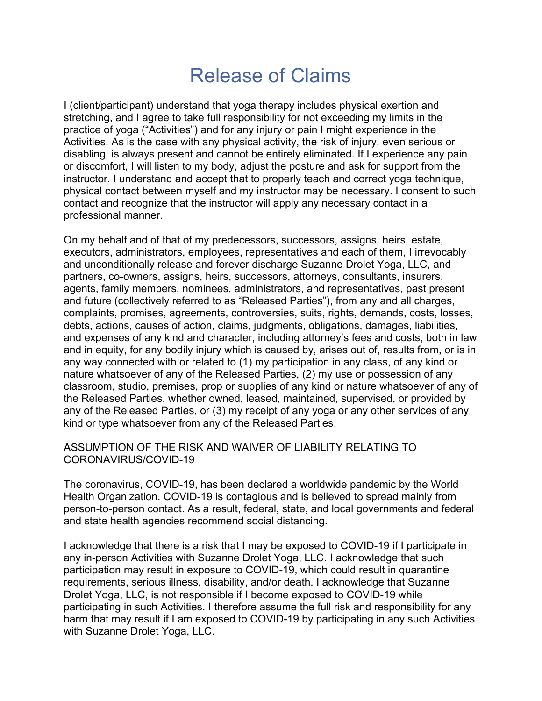## Release of Claims

I (client/participant) understand that yoga therapy includes physical exertion and stretching, and I agree to take full responsibility for not exceeding my limits in the practice of yoga ("Activities") and for any injury or pain I might experience in the Activities. As is the case with any physical activity, the risk of injury, even serious or disabling, is always present and cannot be entirely eliminated. If I experience any pain or discomfort, I will listen to my body, adjust the posture and ask for support from the instructor. I understand and accept that to properly teach and correct yoga technique, physical contact between myself and my instructor may be necessary. I consent to such contact and recognize that the instructor will apply any necessary contact in a professional manner.

On my behalf and of that of my predecessors, successors, assigns, heirs, estate, executors, administrators, employees, representatives and each of them, I irrevocably and unconditionally release and forever discharge Suzanne Drolet Yoga, LLC, and partners, co-owners, assigns, heirs, successors, attorneys, consultants, insurers, agents, family members, nominees, administrators, and representatives, past present and future (collectively referred to as "Released Parties"), from any and all charges, complaints, promises, agreements, controversies, suits, rights, demands, costs, losses, debts, actions, causes of action, claims, judgments, obligations, damages, liabilities, and expenses of any kind and character, including attorney's fees and costs, both in law and in equity, for any bodily injury which is caused by, arises out of, results from, or is in any way connected with or related to (1) my participation in any class, of any kind or nature whatsoever of any of the Released Parties, (2) my use or possession of any classroom, studio, premises, prop or supplies of any kind or nature whatsoever of any of the Released Parties, whether owned, leased, maintained, supervised, or provided by any of the Released Parties, or (3) my receipt of any yoga or any other services of any kind or type whatsoever from any of the Released Parties.

## ASSUMPTION OF THE RISK AND WAIVER OF LIABILITY RELATING TO CORONAVIRUS/COVID-19

The coronavirus, COVID-19, has been declared a worldwide pandemic by the World Health Organization. COVID-19 is contagious and is believed to spread mainly from person-to-person contact. As a result, federal, state, and local governments and federal and state health agencies recommend social distancing.

I acknowledge that there is a risk that I may be exposed to COVID-19 if I participate in any in-person Activities with Suzanne Drolet Yoga, LLC. I acknowledge that such participation may result in exposure to COVID-19, which could result in quarantine requirements, serious illness, disability, and/or death. I acknowledge that Suzanne Drolet Yoga, LLC, is not responsible if I become exposed to COVID-19 while participating in such Activities. I therefore assume the full risk and responsibility for any harm that may result if I am exposed to COVID-19 by participating in any such Activities with Suzanne Drolet Yoga, LLC.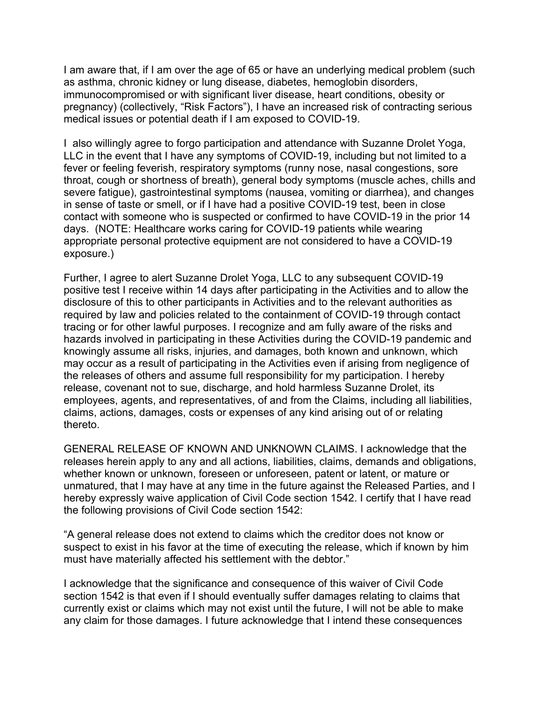I am aware that, if I am over the age of 65 or have an underlying medical problem (such as asthma, chronic kidney or lung disease, diabetes, hemoglobin disorders, immunocompromised or with significant liver disease, heart conditions, obesity or pregnancy) (collectively, "Risk Factors"), I have an increased risk of contracting serious medical issues or potential death if I am exposed to COVID-19.

I also willingly agree to forgo participation and attendance with Suzanne Drolet Yoga, LLC in the event that I have any symptoms of COVID-19, including but not limited to a fever or feeling feverish, respiratory symptoms (runny nose, nasal congestions, sore throat, cough or shortness of breath), general body symptoms (muscle aches, chills and severe fatigue), gastrointestinal symptoms (nausea, vomiting or diarrhea), and changes in sense of taste or smell, or if I have had a positive COVID-19 test, been in close contact with someone who is suspected or confirmed to have COVID-19 in the prior 14 days. (NOTE: Healthcare works caring for COVID-19 patients while wearing appropriate personal protective equipment are not considered to have a COVID-19 exposure.)

Further, I agree to alert Suzanne Drolet Yoga, LLC to any subsequent COVID-19 positive test I receive within 14 days after participating in the Activities and to allow the disclosure of this to other participants in Activities and to the relevant authorities as required by law and policies related to the containment of COVID-19 through contact tracing or for other lawful purposes. I recognize and am fully aware of the risks and hazards involved in participating in these Activities during the COVID-19 pandemic and knowingly assume all risks, injuries, and damages, both known and unknown, which may occur as a result of participating in the Activities even if arising from negligence of the releases of others and assume full responsibility for my participation. I hereby release, covenant not to sue, discharge, and hold harmless Suzanne Drolet, its employees, agents, and representatives, of and from the Claims, including all liabilities, claims, actions, damages, costs or expenses of any kind arising out of or relating thereto.

GENERAL RELEASE OF KNOWN AND UNKNOWN CLAIMS. I acknowledge that the releases herein apply to any and all actions, liabilities, claims, demands and obligations, whether known or unknown, foreseen or unforeseen, patent or latent, or mature or unmatured, that I may have at any time in the future against the Released Parties, and I hereby expressly waive application of Civil Code section 1542. I certify that I have read the following provisions of Civil Code section 1542:

"A general release does not extend to claims which the creditor does not know or suspect to exist in his favor at the time of executing the release, which if known by him must have materially affected his settlement with the debtor."

I acknowledge that the significance and consequence of this waiver of Civil Code section 1542 is that even if I should eventually suffer damages relating to claims that currently exist or claims which may not exist until the future, I will not be able to make any claim for those damages. I future acknowledge that I intend these consequences